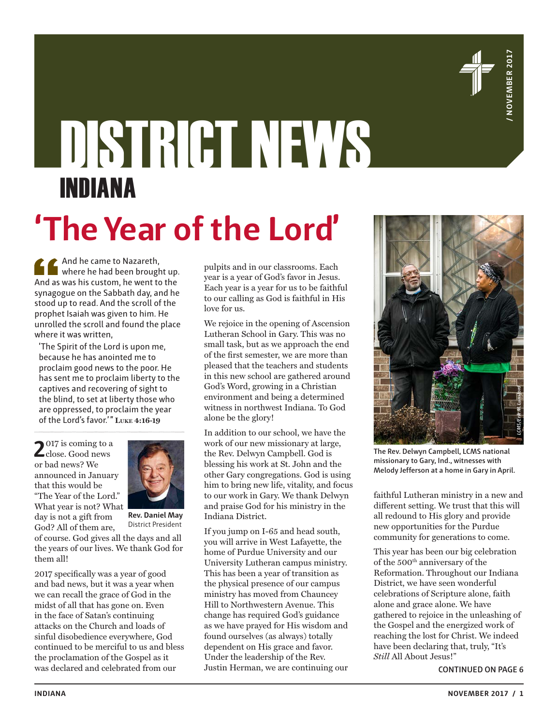

# DISTRICT NEWS INDIANA

# **'The Year of the Lord'**

And he came to Nazareth, where he had been brought up. And as was his custom, he went to the synagogue on the Sabbath day, and he stood up to read. And the scroll of the prophet Isaiah was given to him. He unrolled the scroll and found the place where it was written,

'The Spirit of the Lord is upon me, because he has anointed me to proclaim good news to the poor. He has sent me to proclaim liberty to the captives and recovering of sight to the blind, to set at liberty those who are oppressed, to proclaim the year of the Lord's favor.'" **Luke 4:16-19**

2017 is coming to a close. Good news or bad news? We announced in January that this would be "The Year of the Lord." What year is not? What day is not a gift from



**Rev. Daniel May** District President

God? All of them are, of course. God gives all the days and all the years of our lives. We thank God for them all!

2017 specifically was a year of good and bad news, but it was a year when we can recall the grace of God in the midst of all that has gone on. Even in the face of Satan's continuing attacks on the Church and loads of sinful disobedience everywhere, God continued to be merciful to us and bless the proclamation of the Gospel as it was declared and celebrated from our

pulpits and in our classrooms. Each year is a year of God's favor in Jesus. Each year is a year for us to be faithful to our calling as God is faithful in His love for us.

We rejoice in the opening of Ascension Lutheran School in Gary. This was no small task, but as we approach the end of the first semester, we are more than pleased that the teachers and students in this new school are gathered around God's Word, growing in a Christian environment and being a determined witness in northwest Indiana. To God alone be the glory!

In addition to our school, we have the work of our new missionary at large, the Rev. Delwyn Campbell. God is blessing his work at St. John and the other Gary congregations. God is using him to bring new life, vitality, and focus to our work in Gary. We thank Delwyn and praise God for his ministry in the Indiana District.

If you jump on I-65 and head south, you will arrive in West Lafayette, the home of Purdue University and our University Lutheran campus ministry. This has been a year of transition as the physical presence of our campus ministry has moved from Chauncey Hill to Northwestern Avenue. This change has required God's guidance as we have prayed for His wisdom and found ourselves (as always) totally dependent on His grace and favor. Under the leadership of the Rev. Justin Herman, we are continuing our



**The Rev. Delwyn Campbell, LCMS national missionary to Gary, Ind., witnesses with Melody Jefferson at a home in Gary in April.**

faithful Lutheran ministry in a new and different setting. We trust that this will all redound to His glory and provide new opportunities for the Purdue community for generations to come.

This year has been our big celebration of the 500<sup>th</sup> anniversary of the Reformation. Throughout our Indiana District, we have seen wonderful celebrations of Scripture alone, faith alone and grace alone. We have gathered to rejoice in the unleashing of the Gospel and the energized work of reaching the lost for Christ. We indeed have been declaring that, truly, "It's *Still* All About Jesus!"

**CONTINUED ON PAGE 6**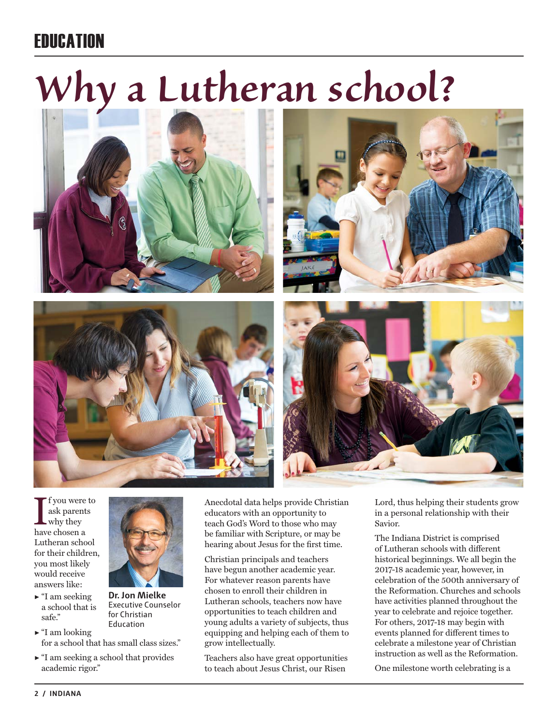### **FRIICATION**

# *Why a Lutheran school?*









I f you were<br>ask parent<br>why they<br>have chosen a f you were to ask parents why they Lutheran school for their children, you most likely would receive answers like:

- $\blacktriangleright$  "I am seeking a school that is safe."
- $\blacktriangleright$  "I am looking for a school that has small class sizes."

**Dr. Jon Mielke** Executive Counselor for Christian Education

 $\blacktriangleright$  "I am seeking a school that provides academic rigor."

Anecdotal data helps provide Christian educators with an opportunity to teach God's Word to those who may be familiar with Scripture, or may be hearing about Jesus for the first time.

Christian principals and teachers have begun another academic year. For whatever reason parents have chosen to enroll their children in Lutheran schools, teachers now have opportunities to teach children and young adults a variety of subjects, thus equipping and helping each of them to grow intellectually.

Teachers also have great opportunities to teach about Jesus Christ, our Risen

Lord, thus helping their students grow in a personal relationship with their Savior.

The Indiana District is comprised of Lutheran schools with different historical beginnings. We all begin the 2017-18 academic year, however, in celebration of the 500th anniversary of the Reformation. Churches and schools have activities planned throughout the year to celebrate and rejoice together. For others, 2017-18 may begin with events planned for different times to celebrate a milestone year of Christian instruction as well as the Reformation.

One milestone worth celebrating is a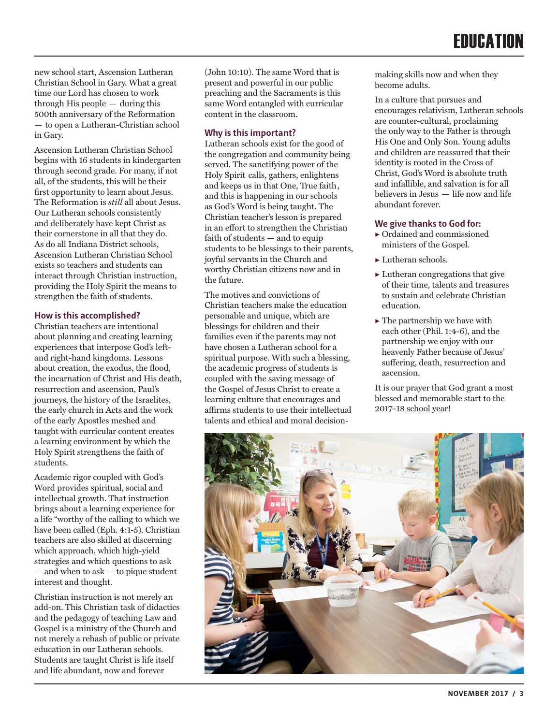new school start, Ascension Lutheran Christian School in Gary. What a great time our Lord has chosen to work through His people — during this 500th anniversary of the Reformation — to open a Lutheran-Christian school in Gary.

Ascension Lutheran Christian School begins with 16 students in kindergarten through second grade. For many, if not all, of the students, this will be their first opportunity to learn about Jesus. The Reformation is *still* all about Jesus. Our Lutheran schools consistently and deliberately have kept Christ as their cornerstone in all that they do. As do all Indiana District schools, Ascension Lutheran Christian School exists so teachers and students can interact through Christian instruction, providing the Holy Spirit the means to strengthen the faith of students.

#### **How is this accomplished?**

Christian teachers are intentional about planning and creating learning experiences that interpose God's leftand right-hand kingdoms. Lessons about creation, the exodus, the flood, the incarnation of Christ and His death, resurrection and ascension, Paul's journeys, the history of the Israelites, the early church in Acts and the work of the early Apostles meshed and taught with curricular content creates a learning environment by which the Holy Spirit strengthens the faith of students.

Academic rigor coupled with God's Word provides spiritual, social and intellectual growth. That instruction brings about a learning experience for a life "worthy of the calling to which we have been called (Eph. 4:1-5). Christian teachers are also skilled at discerning which approach, which high-yield strategies and which questions to ask — and when to ask — to pique student interest and thought.

Christian instruction is not merely an add-on. This Christian task of didactics and the pedagogy of teaching Law and Gospel is a ministry of the Church and not merely a rehash of public or private education in our Lutheran schools. Students are taught Christ is life itself and life abundant, now and forever

(John 10:10). The same Word that is present and powerful in our public preaching and the Sacraments is this same Word entangled with curricular content in the classroom.

#### **Why is this important?**

Lutheran schools exist for the good of the congregation and community being served. The sanctifying power of the Holy Spirit calls, gathers, enlightens and keeps us in that One, True faith, and this is happening in our schools as God's Word is being taught. The Christian teacher's lesson is prepared in an effort to strengthen the Christian faith of students — and to equip students to be blessings to their parents, joyful servants in the Church and worthy Christian citizens now and in the future.

The motives and convictions of Christian teachers make the education personable and unique, which are blessings for children and their families even if the parents may not have chosen a Lutheran school for a spiritual purpose. With such a blessing, the academic progress of students is coupled with the saving message of the Gospel of Jesus Christ to create a learning culture that encourages and affirms students to use their intellectual talents and ethical and moral decision-

making skills now and when they become adults.

In a culture that pursues and encourages relativism, Lutheran schools are counter-cultural, proclaiming the only way to the Father is through His One and Only Son. Young adults and children are reassured that their identity is rooted in the Cross of Christ, God's Word is absolute truth and infallible, and salvation is for all believers in Jesus — life now and life abundant forever.

#### **We give thanks to God for:**

- ▶ Ordained and commissioned ministers of the Gospel.
- $\blacktriangleright$  Lutheran schools.
- $\blacktriangleright$  Lutheran congregations that give of their time, talents and treasures to sustain and celebrate Christian education.
- $\blacktriangleright$  The partnership we have with each other (Phil. 1:4-6), and the partnership we enjoy with our heavenly Father because of Jesus' suffering, death, resurrection and ascension.

It is our prayer that God grant a most blessed and memorable start to the 2017–18 school year!

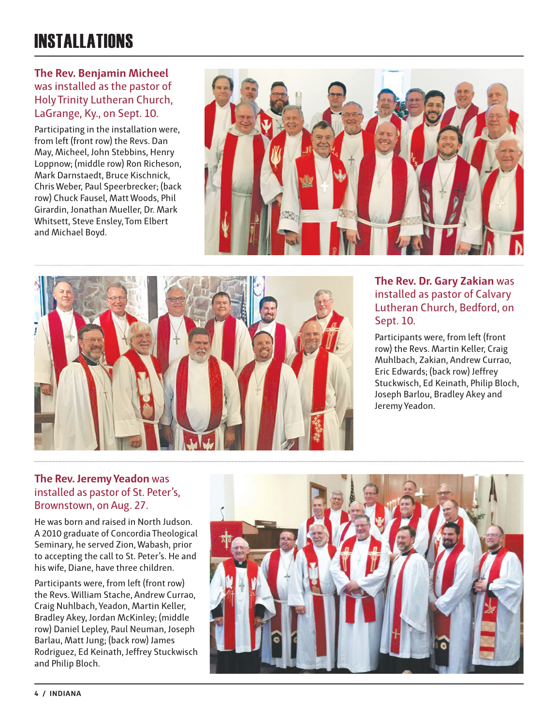## INSTALLATIONS

#### **The Rev. Benjamin Micheel** was installed as the pastor of Holy Trinity Lutheran Church, LaGrange, Ky., on Sept. 10.

Participating in the installation were, from left (front row) the Revs. Dan May, Micheel, John Stebbins, Henry Loppnow; (middle row) Ron Richeson, Mark Darnstaedt, Bruce Kischnick, Chris Weber, Paul Speerbrecker; (back row) Chuck Fausel, Matt Woods, Phil Girardin, Jonathan Mueller, Dr. Mark Whitsett, Steve Ensley, Tom Elbert and Michael Boyd.





#### **The Rev. Dr. Gary Zakian** was installed as pastor of Calvary Lutheran Church, Bedford, on Sept. 10.

Participants were, from left (front row) the Revs. Martin Keller, Craig Muhlbach, Zakian, Andrew Currao, Eric Edwards; (back row) Jeffrey Stuckwisch, Ed Keinath, Philip Bloch, Joseph Barlou, Bradley Akey and Jeremy Yeadon.

#### **The Rev. Jeremy Yeadon** was installed as pastor of St. Peter's, Brownstown, on Aug. 27.

He was born and raised in North Judson. A 2010 graduate of Concordia Theological Seminary, he served Zion, Wabash, prior to accepting the call to St. Peter's. He and his wife, Diane, have three children.

Participants were, from left (front row) the Revs. William Stache, Andrew Currao, Craig Nuhlbach, Yeadon, Martin Keller, Bradley Akey, Jordan McKinley; (middle row) Daniel Lepley, Paul Neuman, Joseph Barlau, Matt Jung; (back row) James Rodriguez, Ed Keinath, Jeffrey Stuckwisch and Philip Bloch.

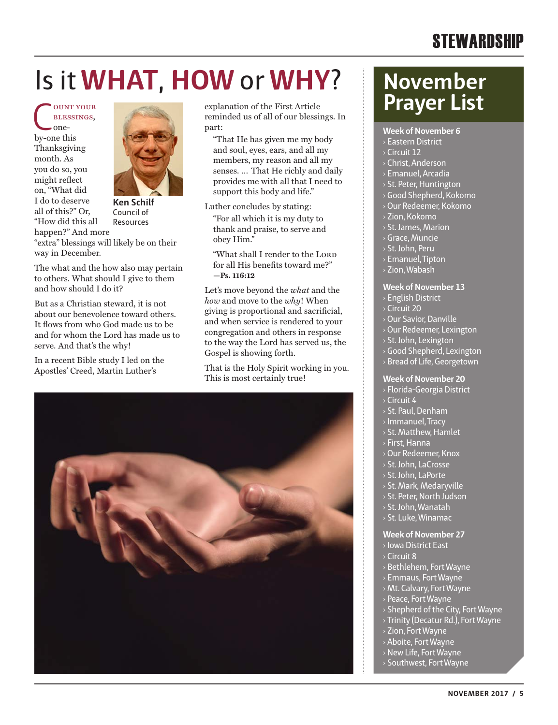### **STEWARDSHIP**

# Is it **WHAT**, **HOW** or **WHY**?

COUNT YOUR<br>BLESSINGS,<br>by-one this blessings, oneby-one this Thanksgiving month. As you do so, you might reflect on, "What did I do to deserve all of this?" Or, "How did this all happen?" And more



Council of Resources

"extra" blessings will likely be on their way in December.

The what and the how also may pertain to others. What should I give to them and how should I do it?

But as a Christian steward, it is not about our benevolence toward others. It flows from who God made us to be and for whom the Lord has made us to serve. And that's the why!

In a recent Bible study I led on the Apostles' Creed, Martin Luther's

explanation of the First Article reminded us of all of our blessings. In part:

"That He has given me my body and soul, eyes, ears, and all my members, my reason and all my senses. … That He richly and daily provides me with all that I need to support this body and life."

Luther concludes by stating:

"For all which it is my duty to thank and praise, to serve and obey Him."

"What shall I render to the LORD for all His benefits toward me?" **—Ps. 116:12**

Let's move beyond the *what* and the *how* and move to the *why*! When giving is proportional and sacrificial, and when service is rendered to your congregation and others in response to the way the Lord has served us, the Gospel is showing forth.

That is the Holy Spirit working in you. This is most certainly true!



## **November Prayer List**

**Week of November 6**

- › Eastern District
- › Circuit 12
- › Christ, Anderson
- › Emanuel, Arcadia
- › St. Peter, Huntington
- › Good Shepherd, Kokomo
- › Our Redeemer, Kokomo
- › Zion, Kokomo
- › St. James, Marion
- › Grace, Muncie
- › St. John, Peru
- › Emanuel, Tipton
- › Zion, Wabash
- **Week of November 13**
- › English District
- $\sqrt{C}$  Circuit 20
- › Our Savior, Danville
- › Our Redeemer, Lexington
- › St. John, Lexington
- › Good Shepherd, Lexington
- › Bread of Life, Georgetown

#### **Week of November 20**

- › Florida-Georgia District › Circuit 4
- › St. Paul, Denham
- › Immanuel, Tracy
- › St. Matthew, Hamlet
- › First, Hanna
- › Our Redeemer, Knox
- › St. John, LaCrosse
- › St. John, LaPorte
- › St. Mark, Medaryville
- › St. Peter, North Judson
- › St. John, Wanatah
- › St. Luke, Winamac

#### **Week of November 27**

- › Iowa District East
- › Circuit 8
- › Bethlehem, Fort Wayne
- › Emmaus, Fort Wayne
- › Mt. Calvary, Fort Wayne
- › Peace, Fort Wayne
- › Shepherd of the City, Fort Wayne
- › Trinity (Decatur Rd.), Fort Wayne
- › Zion, Fort Wayne
- › Aboite, Fort Wayne
- › New Life, Fort Wayne
- › Southwest, Fort Wayne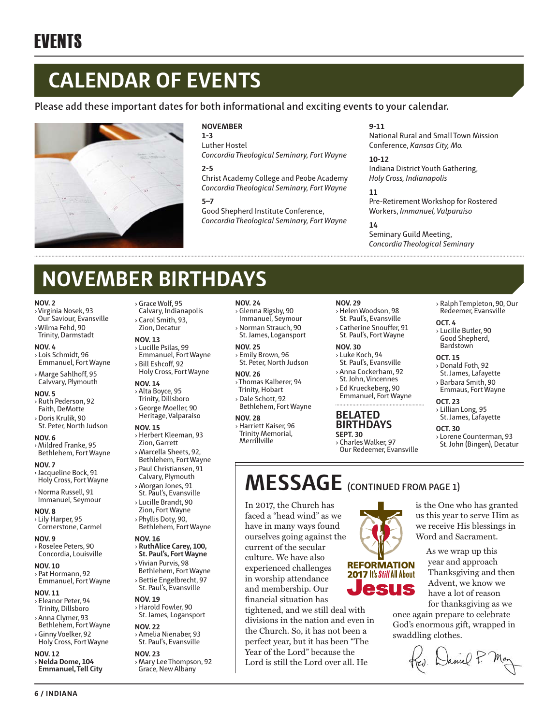# **CALENDAR OF EVENTS**

#### **Please add these important dates for both informational and exciting events to your calendar.**



#### **NOVEMBER**

**1-3** Luther Hostel *Concordia Theological Seminary, Fort Wayne*

**2-5**

Christ Academy College and Peobe Academy *Concordia Theological Seminary, Fort Wayne*

#### **5–7**

Good Shepherd Institute Conference, *Concordia Theological Seminary, Fort Wayne*

#### **9-11**

National Rural and Small Town Mission Conference, *Kansas City, Mo.*

**10-12** Indiana District Youth Gathering, *Holy Cross, Indianapolis*

#### **11**

Pre-Retirement Workshop for Rostered Workers, *Immanuel, Valparaiso*

#### **14**

Seminary Guild Meeting, *Concordia Theological Seminary*

# **NOVEMBER BIRTHDAYS**

#### **NOV. 2**

- ›Virginia Nosek, 93 Our Saviour, Evansville
- ›Wilma Fehd, 90 Trinity, Darmstadt

#### **NOV. 4**

- › Lois Schmidt, 96 Emmanuel, Fort Wayne
- › Marge Sahlhoff, 95 Calvvary, Plymouth

#### **NOV. 5**

- › Ruth Pederson, 92 Faith, DeMotte
- › Doris Krulik, 90 St. Peter, North Judson
- **NOV. 6** › Mildred Franke, 95
- Bethlehem, Fort Wayne **NOV. 7** › Jacqueline Bock, 91
- Holy Cross, Fort Wayne
- › Norma Russell, 91 Immanuel, Seymour
- **NOV. 8** › Lily Harper, 95 Cornerstone, Carmel

#### **NOV. 9**

› Roselee Peters, 90 Concordia, Louisville

#### **NOV. 10**

› Pat Hormann, 92 Emmanuel, Fort Wayne

#### **NOV. 11**

- › Eleanor Peter, 94 Trinity, Dillsboro
- › Anna Clymer, 93 Bethlehem, Fort Wayne › Ginny Voelker, 92
- Holy Cross, Fort Wayne

#### **NOV. 12** › **Nelda Dome, 104 Emmanuel, Tell City**

**6 / INDIANA**

- › Grace Wolf, 95
- Calvary, Indianapolis
- › Carol Smith, 93, Zion, Decatur

#### **NOV. 13**

- › Lucille Psilas, 99 Emmanuel, Fort Wayne
- › Bill Eshcoff, 92 Holy Cross, Fort Wayne
- **NOV. 14** › Alta Boyce, 95
- Trinity, Dillsboro › George Moeller, 90 Heritage, Valparaiso

#### **NOV. 15**

- › Herbert Kleeman, 93 Zion, Garrett
- › Marcella Sheets, 92, Bethlehem, Fort Wayne
- › Paul Christiansen, 91 Calvary, Plymouth
- › Morgan Jones, 91 St. Paul's, Evansville
- › Lucille Brandt, 90
- Zion, Fort Wayne › Phyllis Doty, 90,
- Bethlehem, Fort Wayne
- **NOV. 16**
- › **RuthAlice Carey, 100, St. Paul's, Fort Wayne**
- ›Vivian Purvis, 98 Bethlehem, Fort Wayne › Bettie Engelbrecht, 97
- St. Paul's, Evansville

#### **NOV. 19**

› Harold Fowler, 90 St. James, Logansport

#### **NOV. 22**

› Amelia Nienaber, 93 St. Paul's, Evansville

### **NOV. 23**

›Mary Lee Thompson, 92 Grace, New Albany

#### **NOV. 24**

- › Glenna Rigsby, 90 Immanuel, Seymour
- › Norman Strauch, 90
- St. James, Logansport **NOV. 25**
- › Emily Brown, 96 St. Peter, North Judson

#### **NOV. 26**

- ›Thomas Kalberer, 94 Trinity, Hobart
- › Dale Schott, 92 Bethlehem, Fort Wayne

#### **NOV. 28**

› Harriett Kaiser, 96 Trinity Memorial, Merrillville

#### **NOV. 29**

- › Helen Woodson, 98 St. Paul's, Evansville
- › Catherine Snouffer, 91 St. Paul's, Fort Wayne

#### **NOV. 30**

- › Luke Koch, 94 St. Paul's, Evansville
- › Anna Cockerham, 92
- St. John, Vincennes › Ed Krueckeberg, 90
- Emmanuel, Fort Wayne

#### **BELATED BIRTHDAYS SEPT. 30**

› Charles Walker, 97 Our Redeemer, Evansville

> **REFORMATION** 2017 It's Still All About esus

#### › Ralph Templeton, 90, Our Redeemer, Evansville

#### **OCT. 4**

› Lucille Butler, 90 Good Shepherd, **Bardstown** 

#### **OCT. 15**

- › Donald Foth, 92 St. James, Lafayette
- › Barbara Smith, 90 Emmaus, Fort Wayne

#### **OCT. 23**

› Lillian Long, 95 St. James, Lafayette

is the One who has granted us this year to serve Him as we receive His blessings in Word and Sacrament. As we wrap up this year and approach Thanksgiving and then Advent, we know we have a lot of reason for thanksgiving as we

once again prepare to celebrate God's enormous gift, wrapped in

Rev. Daniel P. M.

swaddling clothes.

#### **OCT. 30**

› Lorene Counterman, 93 St. John (Bingen), Decatur

### **MESSAGE (CONTINUED FROM PAGE 1)**

In 2017, the Church has faced a "head wind" as we have in many ways found ourselves going against the current of the secular culture. We have also experienced challenges in worship attendance and membership. Our financial situation has

tightened, and we still deal with divisions in the nation and even in the Church. So, it has not been a perfect year, but it has been "The Year of the Lord" because the Lord is still the Lord over all. He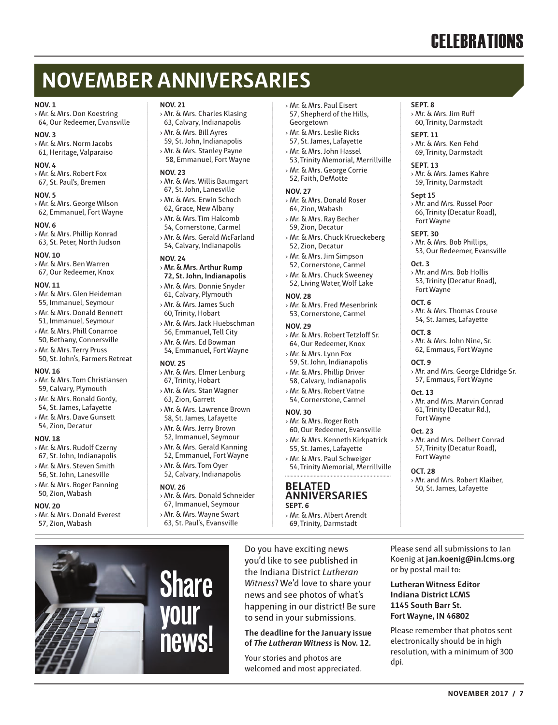# **CELEBRATIONS**

# **NOVEMBER ANNIVERSARIES**

#### **NOV. 1**

› Mr. & Mrs. Don Koestring 64, Our Redeemer, Evansville

**NOV. 3** › Mr. & Mrs. Norm Jacobs 61, Heritage, Valparaiso

**NOV. 4**

› Mr. & Mrs. Robert Fox 67, St. Paul's, Bremen

#### **NOV. 5**

› Mr. & Mrs. George Wilson 62, Emmanuel, Fort Wayne

#### **NOV. 6**

› Mr. & Mrs. Phillip Konrad 63, St. Peter, North Judson

#### **NOV. 10**

› Mr. & Mrs. Ben Warren 67, Our Redeemer, Knox

#### **NOV. 11**

- › Mr. & Mrs. Glen Heideman 55, Immanuel, Seymour
- › Mr. & Mrs. Donald Bennett
- 51, Immanuel, Seymour
- › Mr. & Mrs. Phill Conarroe 50, Bethany, Connersville
- › Mr. & Mrs. Terry Pruss 50, St. John's, Farmers Retreat

#### **NOV. 16**

- › Mr. & Mrs. Tom Christiansen 59, Calvary, Plymouth
- › Mr. & Mrs. Ronald Gordy,
- 54, St. James, Lafayette
- › Mr. & Mrs. Dave Gunsett 54, Zion, Decatur

#### **NOV. 18**

- › Mr. & Mrs. Rudolf Czerny
- 67, St. John, Indianapolis
- › Mr. & Mrs. Steven Smith 56, St. John, Lanesville
- 

#### › Mr. & Mrs. Roger Panning 50, Zion, Wabash

#### **NOV. 20**

› Mr. & Mrs. Donald Everest 57, Zion, Wabash

#### **NOV. 21**

- › Mr. & Mrs. Charles Klasing 63, Calvary, Indianapolis
- › Mr. & Mrs. Bill Ayres
- 59, St. John, Indianapolis › Mr. & Mrs. Stanley Payne
- 58, Emmanuel, Fort Wayne

#### **NOV. 23**

- › Mr. & Mrs. Willis Baumgart
- 67, St. John, Lanesville › Mr. & Mrs. Erwin Schoch
- 62, Grace, New Albany › Mr. & Mrs. Tim Halcomb
- 54, Cornerstone, Carmel
- › Mr. & Mrs. Gerald McFarland 54, Calvary, Indianapolis

#### **NOV. 24**

- › **Mr. & Mrs. Arthur Rump 72, St. John, Indianapolis**
- › Mr. & Mrs. Donnie Snyder 61, Calvary, Plymouth
- › Mr. & Mrs. James Such 60, Trinity, Hobart
- › Mr. & Mrs. Jack Huebschman 56, Emmanuel, Tell City
- › Mr. & Mrs. Ed Bowman 54, Emmanuel, Fort Wayne

#### **NOV. 25**

- › Mr. & Mrs. Elmer Lenburg 67, Trinity, Hobart
- › Mr. & Mrs. Stan Wagner 63, Zion, Garrett
- › Mr. & Mrs. Lawrence Brown
- 58, St. James, Lafayette › Mr. & Mrs. Jerry Brown
- 52, Immanuel, Seymour › Mr. & Mrs. Gerald Kanning 52, Emmanuel, Fort Wayne
- › Mr. & Mrs. Tom Oyer 52, Calvary, Indianapolis

#### **NOV. 26**

- › Mr. & Mrs. Donald Schneider
- 67, Immanuel, Seymour › Mr. & Mrs. Wayne Swart
- 63, St. Paul's, Evansville

**Share** 

**your** 

**news!**

#### › Mr. & Mrs. Paul Eisert 57, Shepherd of the Hills, Georgetown

- › Mr. & Mrs. Leslie Ricks
- 57, St. James, Lafayette › Mr. & Mrs. John Hassel
- 53, Trinity Memorial, Merrillville › Mr. & Mrs. George Corrie
- 52, Faith, DeMotte

#### **NOV. 27**

- › Mr. & Mrs. Donald Roser 64, Zion, Wabash
- › Mr. & Mrs. Ray Becher 59, Zion, Decatur
- › Mr. & Mrs. Chuck Krueckeberg 52, Zion, Decatur
- › Mr. & Mrs. Jim Simpson 52, Cornerstone, Carmel
- › Mr. & Mrs. Chuck Sweeney 52, Living Water, Wolf Lake

#### **NOV. 28**

› Mr. & Mrs. Fred Mesenbrink 53, Cornerstone, Carmel

#### **NOV. 29**

- › Mr. & Mrs. Robert Tetzloff Sr. 64, Our Redeemer, Knox
- › Mr. & Mrs. Lynn Fox
- 59, St. John, Indianapolis › Mr. & Mrs. Phillip Driver
- 58, Calvary, Indianapolis
- › Mr. & Mrs. Robert Vatne 54, Cornerstone, Carmel

#### **NOV. 30**

- › Mr. & Mrs. Roger Roth
- 60, Our Redeemer, Evansville › Mr. & Mrs. Kenneth Kirkpatrick 55, St. James, Lafayette
- › Mr. & Mrs. Paul Schweiger 54, Trinity Memorial, Merrillville

#### **BELATED ANNIVERSARIES**

- **SEPT. 6** › Mr. & Mrs. Albert Arendt
- 69, Trinity, Darmstadt

Do you have exciting news you'd like to see published in the Indiana District *Lutheran Witness*? We'd love to share your news and see photos of what's happening in our district! Be sure to send in your submissions.

**The deadline for the January issue of** *The Lutheran Witness* **is Nov. 12.** 

Your stories and photos are welcomed and most appreciated.

#### **SEPT. 8**

› Mr. & Mrs. Jim Ruff 60, Trinity, Darmstadt

#### **SEPT. 11**

› Mr. & Mrs. Ken Fehd 69, Trinity, Darmstadt

#### **SEPT. 13**

› Mr. & Mrs. James Kahre 59, Trinity, Darmstadt

#### **Sept 15**

› Mr. and Mrs. Russel Poor 66, Trinity (Decatur Road), Fort Wayne

#### **SEPT. 30**

**Oct. 3**

**OCT. 8**

**OCT. 9**

**Oct. 13**

Fort Wayne **Oct. 23**

Fort Wayne **OCT. 28**

Fort Wayne **OCT. 6**

› Mr. & Mrs. Bob Phillips, 53, Our Redeemer, Evansville

› Mr. and Mrs. Bob Hollis 53, Trinity (Decatur Road),

› Mr. & Mrs. Thomas Crouse 54, St. James, Lafayette

› Mr. & Mrs. John Nine, Sr. 62, Emmaus, Fort Wayne

› Mr. and Mrs. George Eldridge Sr. 57, Emmaus, Fort Wayne

› Mr. and Mrs. Marvin Conrad 61, Trinity (Decatur Rd.),

› Mr. and Mrs. Delbert Conrad 57, Trinity (Decatur Road),

› Mr. and Mrs. Robert Klaiber, 50, St. James, Lafayette

**NOVEMBER 2017 / 7**

Please send all submissions to Jan Koenig at **jan.koenig@in.lcms.org** 

Please remember that photos sent electronically should be in high resolution, with a minimum of 300

or by postal mail to: **Lutheran Witness Editor Indiana District LCMS 1145 South Barr St. Fort Wayne, IN 46802**

dpi.